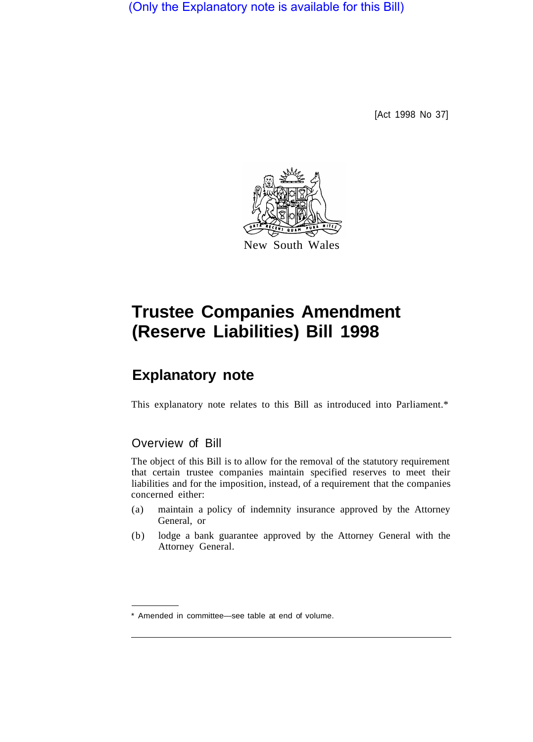(Only the Explanatory note is available for this Bill)

[Act 1998 No 37]



# **Trustee Companies Amendment (Reserve Liabilities) Bill 1998**

## **Explanatory note**

This explanatory note relates to this Bill as introduced into Parliament.\*

### Overview of Bill

The object of this Bill is to allow for the removal of the statutory requirement that certain trustee companies maintain specified reserves to meet their liabilities and for the imposition, instead, of a requirement that the companies concerned either:

- (a) maintain a policy of indemnity insurance approved by the Attorney General, or
- (b) lodge a bank guarantee approved by the Attorney General with the Attorney General.

<sup>\*</sup> Amended in committee—see table at end of volume.